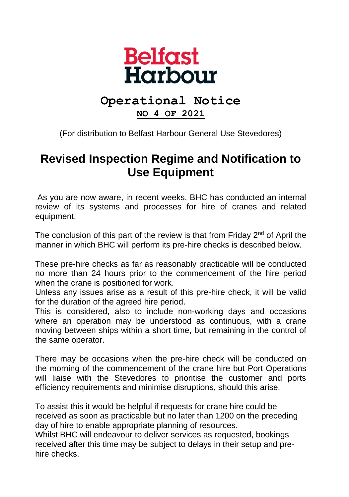

## **Operational Notice**

**NO 4 OF 2021**

(For distribution to Belfast Harbour General Use Stevedores)

## **Revised Inspection Regime and Notification to Use Equipment**

As you are now aware, in recent weeks, BHC has conducted an internal review of its systems and processes for hire of cranes and related equipment.

The conclusion of this part of the review is that from Friday  $2<sup>nd</sup>$  of April the manner in which BHC will perform its pre-hire checks is described below.

These pre-hire checks as far as reasonably practicable will be conducted no more than 24 hours prior to the commencement of the hire period when the crane is positioned for work.

Unless any issues arise as a result of this pre-hire check, it will be valid for the duration of the agreed hire period.

This is considered, also to include non-working days and occasions where an operation may be understood as continuous, with a crane moving between ships within a short time, but remaining in the control of the same operator.

There may be occasions when the pre-hire check will be conducted on the morning of the commencement of the crane hire but Port Operations will liaise with the Stevedores to prioritise the customer and ports efficiency requirements and minimise disruptions, should this arise.

To assist this it would be helpful if requests for crane hire could be received as soon as practicable but no later than 1200 on the preceding day of hire to enable appropriate planning of resources.

Whilst BHC will endeavour to deliver services as requested, bookings received after this time may be subject to delays in their setup and prehire checks.